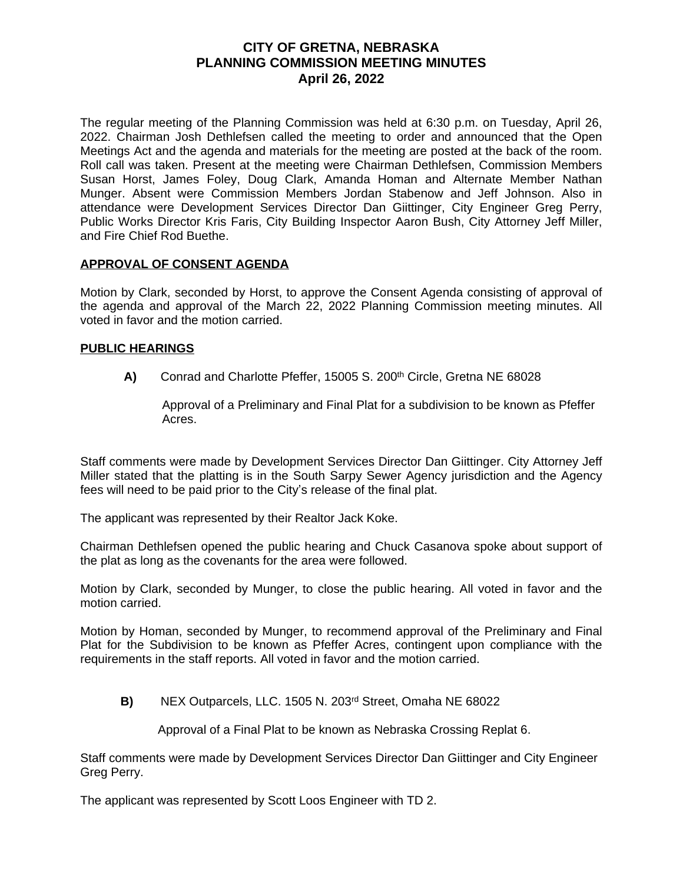# **CITY OF GRETNA, NEBRASKA PLANNING COMMISSION MEETING MINUTES April 26, 2022**

The regular meeting of the Planning Commission was held at 6:30 p.m. on Tuesday, April 26, 2022. Chairman Josh Dethlefsen called the meeting to order and announced that the Open Meetings Act and the agenda and materials for the meeting are posted at the back of the room. Roll call was taken. Present at the meeting were Chairman Dethlefsen, Commission Members Susan Horst, James Foley, Doug Clark, Amanda Homan and Alternate Member Nathan Munger. Absent were Commission Members Jordan Stabenow and Jeff Johnson. Also in attendance were Development Services Director Dan Giittinger, City Engineer Greg Perry, Public Works Director Kris Faris, City Building Inspector Aaron Bush, City Attorney Jeff Miller, and Fire Chief Rod Buethe.

### **APPROVAL OF CONSENT AGENDA**

Motion by Clark, seconded by Horst, to approve the Consent Agenda consisting of approval of the agenda and approval of the March 22, 2022 Planning Commission meeting minutes. All voted in favor and the motion carried.

### **PUBLIC HEARINGS**

**A)** Conrad and Charlotte Pfeffer, 15005 S. 200<sup>th</sup> Circle, Gretna NE 68028

 Approval of a Preliminary and Final Plat for a subdivision to be known as Pfeffer Acres.

Staff comments were made by Development Services Director Dan Giittinger. City Attorney Jeff Miller stated that the platting is in the South Sarpy Sewer Agency jurisdiction and the Agency fees will need to be paid prior to the City's release of the final plat.

The applicant was represented by their Realtor Jack Koke.

Chairman Dethlefsen opened the public hearing and Chuck Casanova spoke about support of the plat as long as the covenants for the area were followed.

Motion by Clark, seconded by Munger, to close the public hearing. All voted in favor and the motion carried.

Motion by Homan, seconded by Munger, to recommend approval of the Preliminary and Final Plat for the Subdivision to be known as Pfeffer Acres, contingent upon compliance with the requirements in the staff reports. All voted in favor and the motion carried.

**B)** NEX Outparcels, LLC. 1505 N. 203rd Street, Omaha NE 68022

Approval of a Final Plat to be known as Nebraska Crossing Replat 6.

Staff comments were made by Development Services Director Dan Giittinger and City Engineer Greg Perry.

The applicant was represented by Scott Loos Engineer with TD 2.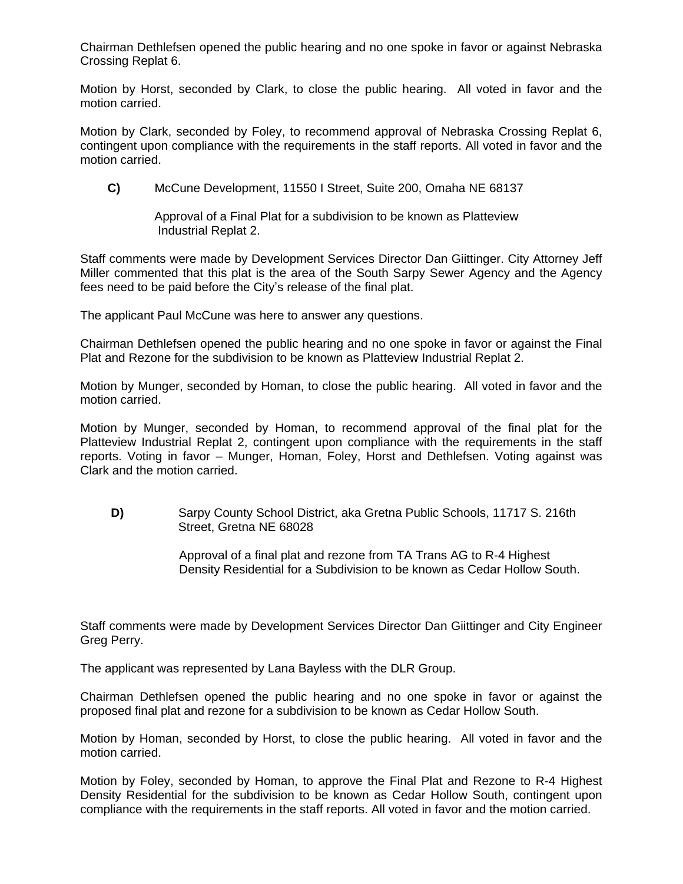Chairman Dethlefsen opened the public hearing and no one spoke in favor or against Nebraska Crossing Replat 6.

Motion by Horst, seconded by Clark, to close the public hearing. All voted in favor and the motion carried.

Motion by Clark, seconded by Foley, to recommend approval of Nebraska Crossing Replat 6, contingent upon compliance with the requirements in the staff reports. All voted in favor and the motion carried.

**C)** McCune Development, 11550 I Street, Suite 200, Omaha NE 68137

 Approval of a Final Plat for a subdivision to be known as Platteview Industrial Replat 2.

Staff comments were made by Development Services Director Dan Giittinger. City Attorney Jeff Miller commented that this plat is the area of the South Sarpy Sewer Agency and the Agency fees need to be paid before the City's release of the final plat.

The applicant Paul McCune was here to answer any questions.

Chairman Dethlefsen opened the public hearing and no one spoke in favor or against the Final Plat and Rezone for the subdivision to be known as Platteview Industrial Replat 2.

Motion by Munger, seconded by Homan, to close the public hearing. All voted in favor and the motion carried.

Motion by Munger, seconded by Homan, to recommend approval of the final plat for the Platteview Industrial Replat 2, contingent upon compliance with the requirements in the staff reports. Voting in favor – Munger, Homan, Foley, Horst and Dethlefsen. Voting against was Clark and the motion carried.

 **D)** Sarpy County School District, aka Gretna Public Schools, 11717 S. 216th Street, Gretna NE 68028

> Approval of a final plat and rezone from TA Trans AG to R-4 Highest Density Residential for a Subdivision to be known as Cedar Hollow South.

Staff comments were made by Development Services Director Dan Giittinger and City Engineer Greg Perry.

The applicant was represented by Lana Bayless with the DLR Group.

Chairman Dethlefsen opened the public hearing and no one spoke in favor or against the proposed final plat and rezone for a subdivision to be known as Cedar Hollow South.

Motion by Homan, seconded by Horst, to close the public hearing. All voted in favor and the motion carried.

Motion by Foley, seconded by Homan, to approve the Final Plat and Rezone to R-4 Highest Density Residential for the subdivision to be known as Cedar Hollow South, contingent upon compliance with the requirements in the staff reports. All voted in favor and the motion carried.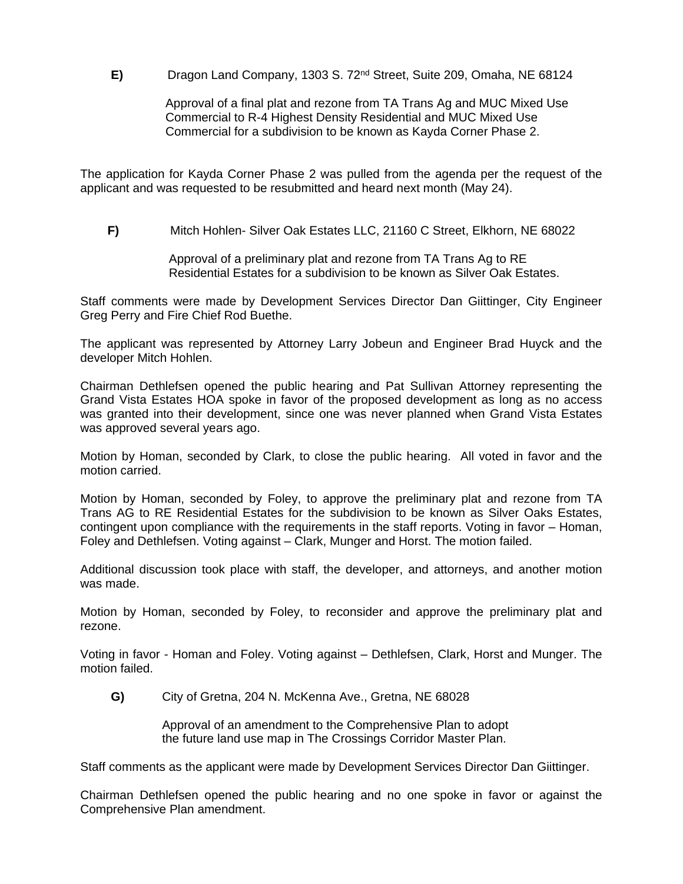**E)** Dragon Land Company, 1303 S. 72nd Street, Suite 209, Omaha, NE 68124

 Approval of a final plat and rezone from TA Trans Ag and MUC Mixed Use Commercial to R-4 Highest Density Residential and MUC Mixed Use Commercial for a subdivision to be known as Kayda Corner Phase 2.

The application for Kayda Corner Phase 2 was pulled from the agenda per the request of the applicant and was requested to be resubmitted and heard next month (May 24).

 **F)** Mitch Hohlen- Silver Oak Estates LLC, 21160 C Street, Elkhorn, NE 68022

 Approval of a preliminary plat and rezone from TA Trans Ag to RE Residential Estates for a subdivision to be known as Silver Oak Estates.

Staff comments were made by Development Services Director Dan Giittinger, City Engineer Greg Perry and Fire Chief Rod Buethe.

The applicant was represented by Attorney Larry Jobeun and Engineer Brad Huyck and the developer Mitch Hohlen.

Chairman Dethlefsen opened the public hearing and Pat Sullivan Attorney representing the Grand Vista Estates HOA spoke in favor of the proposed development as long as no access was granted into their development, since one was never planned when Grand Vista Estates was approved several years ago.

Motion by Homan, seconded by Clark, to close the public hearing. All voted in favor and the motion carried.

Motion by Homan, seconded by Foley, to approve the preliminary plat and rezone from TA Trans AG to RE Residential Estates for the subdivision to be known as Silver Oaks Estates, contingent upon compliance with the requirements in the staff reports. Voting in favor – Homan, Foley and Dethlefsen. Voting against – Clark, Munger and Horst. The motion failed.

Additional discussion took place with staff, the developer, and attorneys, and another motion was made.

Motion by Homan, seconded by Foley, to reconsider and approve the preliminary plat and rezone.

Voting in favor - Homan and Foley. Voting against – Dethlefsen, Clark, Horst and Munger. The motion failed.

**G)** City of Gretna, 204 N. McKenna Ave., Gretna, NE 68028

 Approval of an amendment to the Comprehensive Plan to adopt the future land use map in The Crossings Corridor Master Plan.

Staff comments as the applicant were made by Development Services Director Dan Giittinger.

Chairman Dethlefsen opened the public hearing and no one spoke in favor or against the Comprehensive Plan amendment.